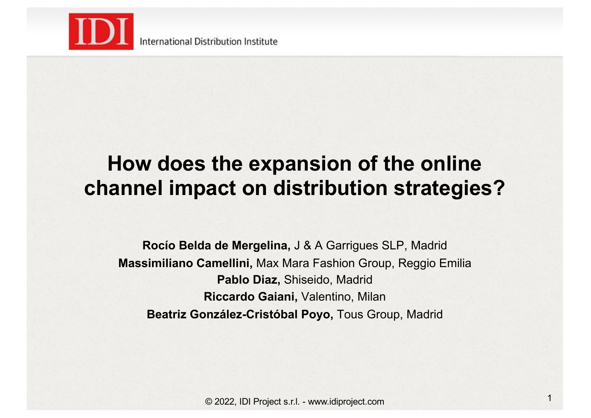

International Distribution Institute

# **How does the expansion of the online channel impact on distribution strategies?**

**Rocío Belda de Mergelina,** J & A Garrigues SLP, Madrid **Massimiliano Camellini,** Max Mara Fashion Group, Reggio Emilia **Pablo Diaz,** Shiseido, Madrid **Riccardo Gaiani,** Valentino, Milan **Beatriz González-Cristóbal Poyo,** Tous Group, Madrid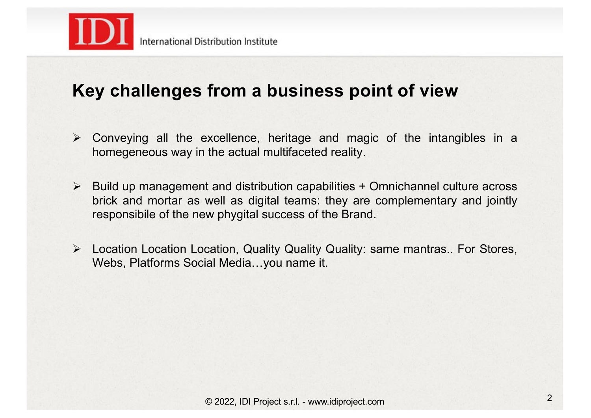

## **Key challenges from a business point of view**

- $\triangleright$  Conveying all the excellence, heritage and magic of the intangibles in a homegeneous way in the actual multifaceted reality.
- $\triangleright$  Build up management and distribution capabilities + Omnichannel culture across brick and mortar as well as digital teams: they are complementary and jointly responsibile of the new phygital success of the Brand.
- ! Location Location Location, Quality Quality Quality: same mantras.. For Stores, Webs, Platforms Social Media…you name it.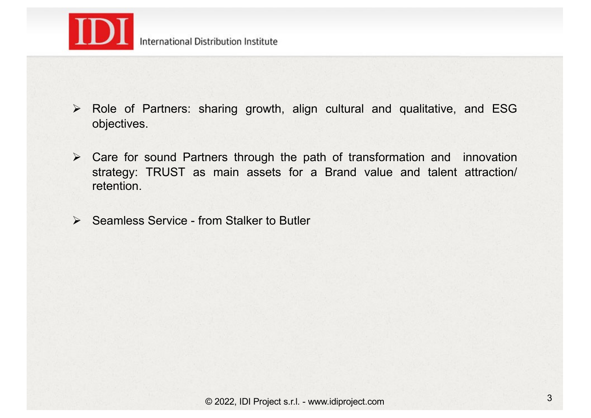

- $\triangleright$  Role of Partners: sharing growth, align cultural and qualitative, and ESG objectives.
- $\triangleright$  Care for sound Partners through the path of transformation and innovation strategy: TRUST as main assets for a Brand value and talent attraction/ retention.
- $\triangleright$  Seamless Service from Stalker to Butler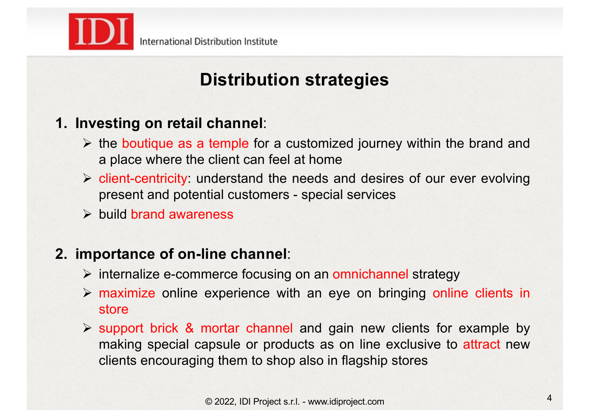

# **Distribution strategies**

### **1. Investing on retail channel**:

- $\triangleright$  the boutique as a temple for a customized journey within the brand and a place where the client can feel at home
- $\triangleright$  client-centricity: understand the needs and desires of our ever evolving present and potential customers - special services
- $\triangleright$  build brand awareness

### **2. importance of on-line channel**:

- $\triangleright$  internalize e-commerce focusing on an omnichannel strategy
- $\triangleright$  maximize online experience with an eye on bringing online clients in store
- $\triangleright$  support brick & mortar channel and gain new clients for example by making special capsule or products as on line exclusive to attract new clients encouraging them to shop also in flagship stores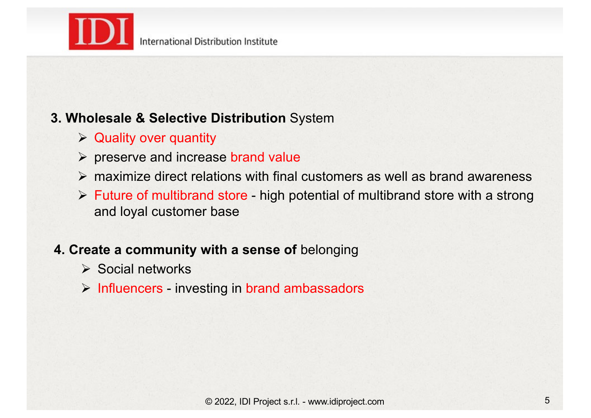

### **3. Wholesale & Selective Distribution** System

- $\triangleright$  Quality over quantity
- $\triangleright$  preserve and increase brand value
- $\triangleright$  maximize direct relations with final customers as well as brand awareness
- $\triangleright$  Future of multibrand store high potential of multibrand store with a strong and loyal customer base

### **4. Create a community with a sense of** belonging

- $\triangleright$  Social networks
- $\triangleright$  Influencers investing in brand ambassadors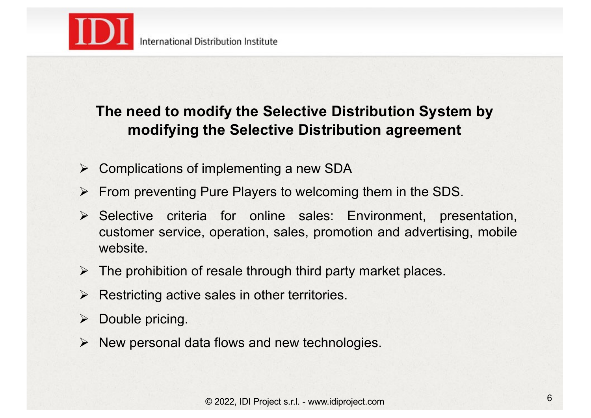

### **The need to modify the Selective Distribution System by modifying the Selective Distribution agreement**

- ! Complications of implementing a new SDA
- $\triangleright$  From preventing Pure Players to welcoming them in the SDS.
- $\triangleright$  Selective criteria for online sales: Environment, presentation, customer service, operation, sales, promotion and advertising, mobile website.
- $\triangleright$  The prohibition of resale through third party market places.
- $\triangleright$  Restricting active sales in other territories.
- $\triangleright$  Double pricing.
- $\triangleright$  New personal data flows and new technologies.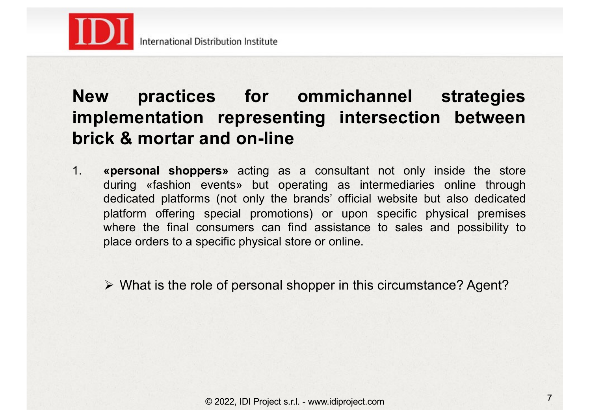

# **New practices for ommichannel strategies implementation representing intersection between brick & mortar and on-line**

1. **«personal shoppers»** acting as a consultant not only inside the store during «fashion events» but operating as intermediaries online through dedicated platforms (not only the brands' official website but also dedicated platform offering special promotions) or upon specific physical premises where the final consumers can find assistance to sales and possibility to place orders to a specific physical store or online.

 $\triangleright$  What is the role of personal shopper in this circumstance? Agent?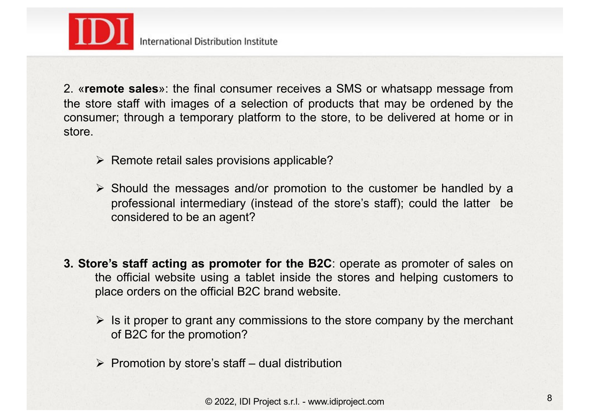

2. «**remote sales**»: the final consumer receives a SMS or whatsapp message from the store staff with images of a selection of products that may be ordened by the consumer; through a temporary platform to the store, to be delivered at home or in store.

- $\triangleright$  Remote retail sales provisions applicable?
- $\triangleright$  Should the messages and/or promotion to the customer be handled by a professional intermediary (instead of the store's staff); could the latter be considered to be an agent?
- **3. Store's staff acting as promoter for the B2C**: operate as promoter of sales on the official website using a tablet inside the stores and helping customers to place orders on the official B2C brand website.
	- $\triangleright$  Is it proper to grant any commissions to the store company by the merchant of B2C for the promotion?
	- $\triangleright$  Promotion by store's staff dual distribution